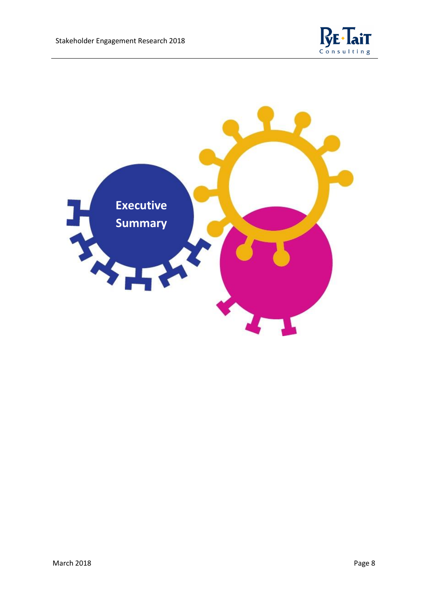

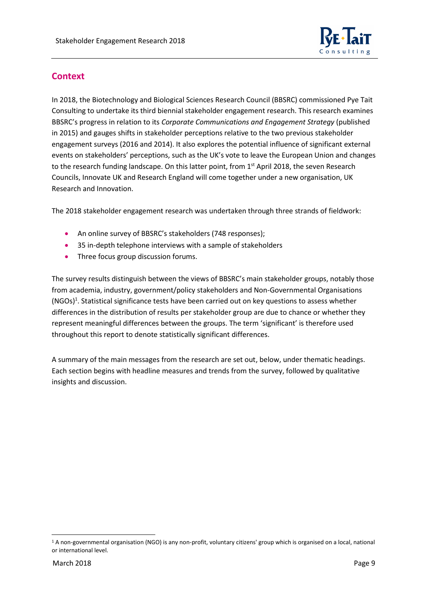

### **Context**

In 2018, the Biotechnology and Biological Sciences Research Council (BBSRC) commissioned Pye Tait Consulting to undertake its third biennial stakeholder engagement research. This research examines BBSRC's progress in relation to its *Corporate Communications and Engagement Strategy* (published in 2015) and gauges shifts in stakeholder perceptions relative to the two previous stakeholder engagement surveys (2016 and 2014). It also explores the potential influence of significant external events on stakeholders' perceptions, such as the UK's vote to leave the European Union and changes to the research funding landscape. On this latter point, from 1<sup>st</sup> April 2018, the seven Research Councils, Innovate UK and Research England will come together under a new organisation, UK Research and Innovation.

The 2018 stakeholder engagement research was undertaken through three strands of fieldwork:

- An online survey of BBSRC's stakeholders (748 responses);
- 35 in-depth telephone interviews with a sample of stakeholders
- Three focus group discussion forums.

The survey results distinguish between the views of BBSRC's main stakeholder groups, notably those from academia, industry, government/policy stakeholders and Non-Governmental Organisations (NGOs)<sup>1</sup>. Statistical significance tests have been carried out on key questions to assess whether differences in the distribution of results per stakeholder group are due to chance or whether they represent meaningful differences between the groups. The term 'significant' is therefore used throughout this report to denote statistically significant differences.

A summary of the main messages from the research are set out, below, under thematic headings. Each section begins with headline measures and trends from the survey, followed by qualitative insights and discussion.

**.** 

<sup>1</sup> A non-governmental organisation (NGO) is any non-profit, voluntary citizens' group which is organised on a local, national or international level.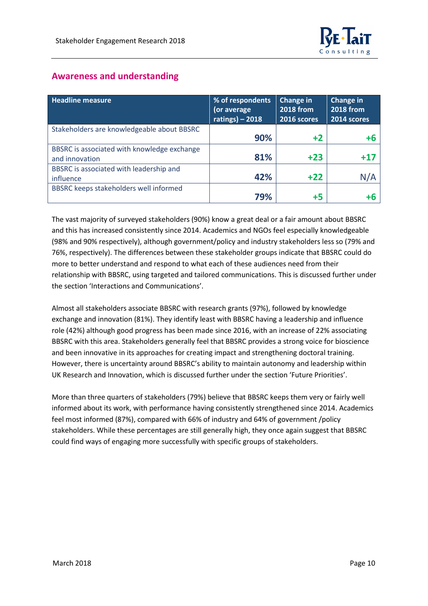# **Awareness and understanding**

| <b>Headline measure</b>                       | % of respondents<br>(or average<br>ratings) $-2018$ | <b>Change in</b><br><b>2018 from</b><br>2016 scores | <b>Change in</b><br><b>2018 from</b><br>2014 scores |
|-----------------------------------------------|-----------------------------------------------------|-----------------------------------------------------|-----------------------------------------------------|
| Stakeholders are knowledgeable about BBSRC    | 90%                                                 | $+2$                                                | +6                                                  |
| BBSRC is associated with knowledge exchange   |                                                     |                                                     |                                                     |
| and innovation                                | 81%                                                 | $+23$                                               |                                                     |
| BBSRC is associated with leadership and       |                                                     |                                                     |                                                     |
| influence                                     | 42%                                                 | $+22$                                               | N/A                                                 |
| <b>BBSRC</b> keeps stakeholders well informed |                                                     |                                                     |                                                     |
|                                               | 79%                                                 | $+5$                                                | +6                                                  |

The vast majority of surveyed stakeholders (90%) know a great deal or a fair amount about BBSRC and this has increased consistently since 2014. Academics and NGOs feel especially knowledgeable (98% and 90% respectively), although government/policy and industry stakeholders less so (79% and 76%, respectively). The differences between these stakeholder groups indicate that BBSRC could do more to better understand and respond to what each of these audiences need from their relationship with BBSRC, using targeted and tailored communications. This is discussed further under the section 'Interactions and Communications'.

Almost all stakeholders associate BBSRC with research grants (97%), followed by knowledge exchange and innovation (81%). They identify least with BBSRC having a leadership and influence role (42%) although good progress has been made since 2016, with an increase of 22% associating BBSRC with this area. Stakeholders generally feel that BBSRC provides a strong voice for bioscience and been innovative in its approaches for creating impact and strengthening doctoral training. However, there is uncertainty around BBSRC's ability to maintain autonomy and leadership within UK Research and Innovation, which is discussed further under the section 'Future Priorities'.

More than three quarters of stakeholders (79%) believe that BBSRC keeps them very or fairly well informed about its work, with performance having consistently strengthened since 2014. Academics feel most informed (87%), compared with 66% of industry and 64% of government /policy stakeholders. While these percentages are still generally high, they once again suggest that BBSRC could find ways of engaging more successfully with specific groups of stakeholders.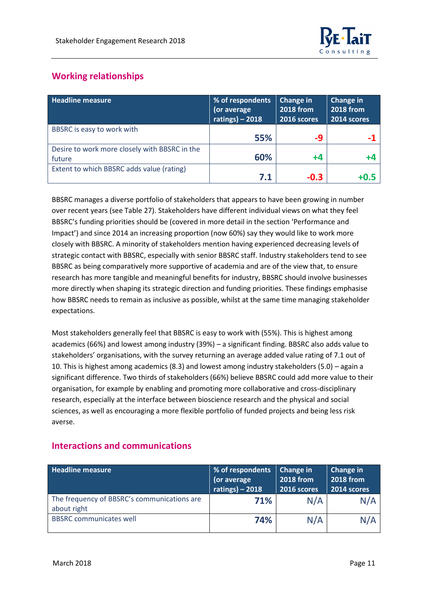

# **Working relationships**

| <b>Headline measure</b>                                 | % of respondents<br>(or average<br>ratings) $-2018$ | <b>Change in</b><br><b>2018 from</b><br>2016 scores | Change in<br><b>2018 from</b><br>$2014$ scores |
|---------------------------------------------------------|-----------------------------------------------------|-----------------------------------------------------|------------------------------------------------|
| BBSRC is easy to work with                              | 55%                                                 | -9                                                  |                                                |
| Desire to work more closely with BBSRC in the<br>future | 60%                                                 | $+4$                                                | +4                                             |
| Extent to which BBSRC adds value (rating)               | 7.1                                                 | $-0.3$                                              |                                                |

BBSRC manages a diverse portfolio of stakeholders that appears to have been growing in number over recent years (see Table 27). Stakeholders have different individual views on what they feel BBSRC's funding priorities should be (covered in more detail in the section 'Performance and Impact') and since 2014 an increasing proportion (now 60%) say they would like to work more closely with BBSRC. A minority of stakeholders mention having experienced decreasing levels of strategic contact with BBSRC, especially with senior BBSRC staff. Industry stakeholders tend to see BBSRC as being comparatively more supportive of academia and are of the view that, to ensure research has more tangible and meaningful benefits for industry, BBSRC should involve businesses more directly when shaping its strategic direction and funding priorities. These findings emphasise how BBSRC needs to remain as inclusive as possible, whilst at the same time managing stakeholder expectations.

Most stakeholders generally feel that BBSRC is easy to work with (55%). This is highest among academics (66%) and lowest among industry (39%) – a significant finding. BBSRC also adds value to stakeholders' organisations, with the survey returning an average added value rating of 7.1 out of 10. This is highest among academics (8.3) and lowest among industry stakeholders (5.0) – again a significant difference. Two thirds of stakeholders (66%) believe BBSRC could add more value to their organisation, for example by enabling and promoting more collaborative and cross-disciplinary research, especially at the interface between bioscience research and the physical and social sciences, as well as encouraging a more flexible portfolio of funded projects and being less risk averse.

#### **Interactions and communications**

| <b>Headline measure</b>                                    | % of respondents<br>(or average<br>ratings) $-2018$ | $\vert$ Change in<br><b>2018 from</b><br>2016 scores | Change in<br><b>2018 from</b><br>2014 scores |
|------------------------------------------------------------|-----------------------------------------------------|------------------------------------------------------|----------------------------------------------|
| The frequency of BBSRC's communications are<br>about right | 71%                                                 | N/A                                                  | N/A                                          |
| <b>BBSRC</b> communicates well                             | 74%                                                 | N/A                                                  | N/A                                          |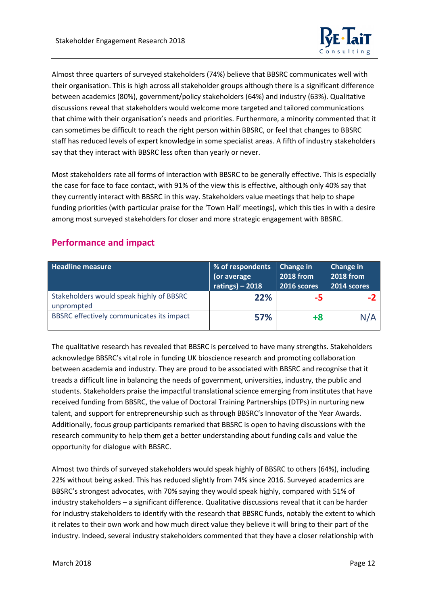

Almost three quarters of surveyed stakeholders (74%) believe that BBSRC communicates well with their organisation. This is high across all stakeholder groups although there is a significant difference between academics (80%), government/policy stakeholders (64%) and industry (63%). Qualitative discussions reveal that stakeholders would welcome more targeted and tailored communications that chime with their organisation's needs and priorities. Furthermore, a minority commented that it can sometimes be difficult to reach the right person within BBSRC, or feel that changes to BBSRC staff has reduced levels of expert knowledge in some specialist areas. A fifth of industry stakeholders say that they interact with BBSRC less often than yearly or never.

Most stakeholders rate all forms of interaction with BBSRC to be generally effective. This is especially the case for face to face contact, with 91% of the view this is effective, although only 40% say that they currently interact with BBSRC in this way. Stakeholders value meetings that help to shape funding priorities (with particular praise for the 'Town Hall' meetings), which this ties in with a desire among most surveyed stakeholders for closer and more strategic engagement with BBSRC.

| <b>Headline measure</b>                                | % of respondents<br>(or average<br>ratings) $-2018$ | Change in<br><b>2018 from</b><br><b>2016 scores</b> | <b>Change in</b><br><b>2018 from</b><br>2014 scores |
|--------------------------------------------------------|-----------------------------------------------------|-----------------------------------------------------|-----------------------------------------------------|
| Stakeholders would speak highly of BBSRC<br>unprompted | 22%                                                 | -5                                                  |                                                     |
| BBSRC effectively communicates its impact              | 57%                                                 | $+8$                                                | N/A                                                 |

## **Performance and impact**

The qualitative research has revealed that BBSRC is perceived to have many strengths. Stakeholders acknowledge BBSRC's vital role in funding UK bioscience research and promoting collaboration between academia and industry. They are proud to be associated with BBSRC and recognise that it treads a difficult line in balancing the needs of government, universities, industry, the public and students. Stakeholders praise the impactful translational science emerging from institutes that have received funding from BBSRC, the value of Doctoral Training Partnerships (DTPs) in nurturing new talent, and support for entrepreneurship such as through BBSRC's Innovator of the Year Awards. Additionally, focus group participants remarked that BBSRC is open to having discussions with the research community to help them get a better understanding about funding calls and value the opportunity for dialogue with BBSRC.

Almost two thirds of surveyed stakeholders would speak highly of BBSRC to others (64%), including 22% without being asked. This has reduced slightly from 74% since 2016. Surveyed academics are BBSRC's strongest advocates, with 70% saying they would speak highly, compared with 51% of industry stakeholders – a significant difference. Qualitative discussions reveal that it can be harder for industry stakeholders to identify with the research that BBSRC funds, notably the extent to which it relates to their own work and how much direct value they believe it will bring to their part of the industry. Indeed, several industry stakeholders commented that they have a closer relationship with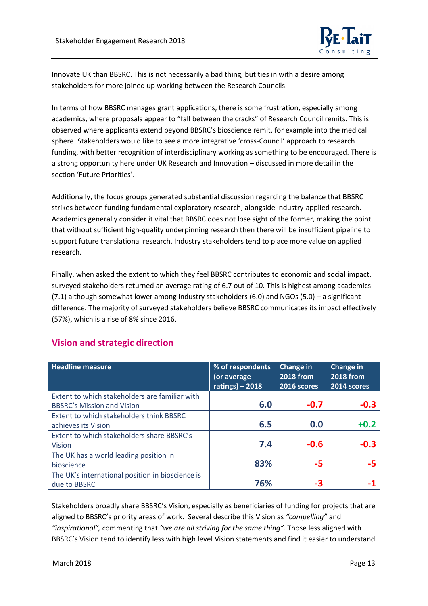

Innovate UK than BBSRC. This is not necessarily a bad thing, but ties in with a desire among stakeholders for more joined up working between the Research Councils.

In terms of how BBSRC manages grant applications, there is some frustration, especially among academics, where proposals appear to "fall between the cracks" of Research Council remits. This is observed where applicants extend beyond BBSRC's bioscience remit, for example into the medical sphere. Stakeholders would like to see a more integrative 'cross-Council' approach to research funding, with better recognition of interdisciplinary working as something to be encouraged. There is a strong opportunity here under UK Research and Innovation – discussed in more detail in the section 'Future Priorities'.

Additionally, the focus groups generated substantial discussion regarding the balance that BBSRC strikes between funding fundamental exploratory research, alongside industry-applied research. Academics generally consider it vital that BBSRC does not lose sight of the former, making the point that without sufficient high-quality underpinning research then there will be insufficient pipeline to support future translational research. Industry stakeholders tend to place more value on applied research.

Finally, when asked the extent to which they feel BBSRC contributes to economic and social impact, surveyed stakeholders returned an average rating of 6.7 out of 10. This is highest among academics (7.1) although somewhat lower among industry stakeholders (6.0) and NGOs (5.0) – a significant difference. The majority of surveyed stakeholders believe BBSRC communicates its impact effectively (57%), which is a rise of 8% since 2016.

#### **Vision and strategic direction**

| <b>Headline measure</b>                          | % of respondents<br>or average<br>ratings) $-2018$ | Change in<br><b>2018 from</b><br>2016 scores | Change in<br><b>2018 from</b><br>2014 scores |
|--------------------------------------------------|----------------------------------------------------|----------------------------------------------|----------------------------------------------|
| Extent to which stakeholders are familiar with   |                                                    |                                              |                                              |
| <b>BBSRC's Mission and Vision</b>                | 6.0                                                | $-0.7$                                       | $-0.3$                                       |
| Extent to which stakeholders think BBSRC         |                                                    |                                              |                                              |
| achieves its Vision                              | 6.5                                                | 0.0                                          | $+0.2$                                       |
| Extent to which stakeholders share BBSRC's       |                                                    |                                              |                                              |
| <b>Vision</b>                                    | 7.4                                                | $-0.6$                                       | $-0.3$                                       |
| The UK has a world leading position in           |                                                    |                                              |                                              |
| bioscience                                       | 83%                                                | -5                                           |                                              |
| The UK's international position in bioscience is |                                                    |                                              |                                              |
| due to BBSRC                                     | 76%                                                | -3                                           |                                              |

Stakeholders broadly share BBSRC's Vision, especially as beneficiaries of funding for projects that are aligned to BBSRC's priority areas of work. Several describe this Vision as *"compelling"* and *"inspirational",* commenting that *"we are all striving for the same thing".* Those less aligned with BBSRC's Vision tend to identify less with high level Vision statements and find it easier to understand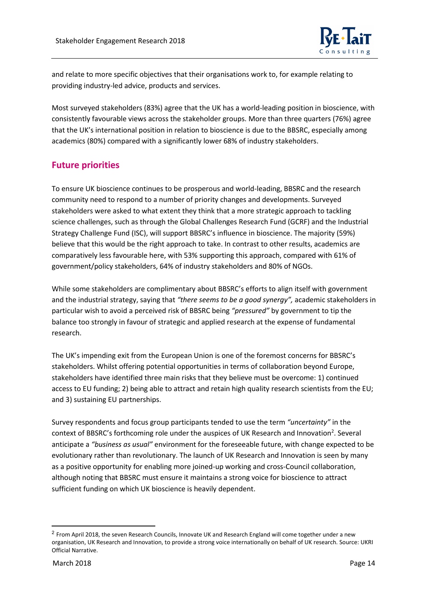

and relate to more specific objectives that their organisations work to, for example relating to providing industry-led advice, products and services.

Most surveyed stakeholders (83%) agree that the UK has a world-leading position in bioscience, with consistently favourable views across the stakeholder groups. More than three quarters (76%) agree that the UK's international position in relation to bioscience is due to the BBSRC, especially among academics (80%) compared with a significantly lower 68% of industry stakeholders.

### **Future priorities**

To ensure UK bioscience continues to be prosperous and world-leading, BBSRC and the research community need to respond to a number of priority changes and developments. Surveyed stakeholders were asked to what extent they think that a more strategic approach to tackling science challenges, such as through the Global Challenges Research Fund (GCRF) and the Industrial Strategy Challenge Fund (ISC), will support BBSRC's influence in bioscience. The majority (59%) believe that this would be the right approach to take. In contrast to other results, academics are comparatively less favourable here, with 53% supporting this approach, compared with 61% of government/policy stakeholders, 64% of industry stakeholders and 80% of NGOs.

While some stakeholders are complimentary about BBSRC's efforts to align itself with government and the industrial strategy, saying that *"there seems to be a good synergy",* academic stakeholders in particular wish to avoid a perceived risk of BBSRC being *"pressured"* by government to tip the balance too strongly in favour of strategic and applied research at the expense of fundamental research.

The UK's impending exit from the European Union is one of the foremost concerns for BBSRC's stakeholders. Whilst offering potential opportunities in terms of collaboration beyond Europe, stakeholders have identified three main risks that they believe must be overcome: 1) continued access to EU funding; 2) being able to attract and retain high quality research scientists from the EU; and 3) sustaining EU partnerships.

Survey respondents and focus group participants tended to use the term *"uncertainty"* in the context of BBSRC's forthcoming role under the auspices of UK Research and Innovation<sup>2</sup>. Several anticipate a *"business as usual"* environment for the foreseeable future, with change expected to be evolutionary rather than revolutionary. The launch of UK Research and Innovation is seen by many as a positive opportunity for enabling more joined-up working and cross-Council collaboration, although noting that BBSRC must ensure it maintains a strong voice for bioscience to attract sufficient funding on which UK bioscience is heavily dependent.

 $\overline{a}$ 

<sup>2</sup> From April 2018, the seven Research Councils, Innovate UK and Research England will come together under a new organisation, UK Research and Innovation, to provide a strong voice internationally on behalf of UK research. Source: UKRI Official Narrative.